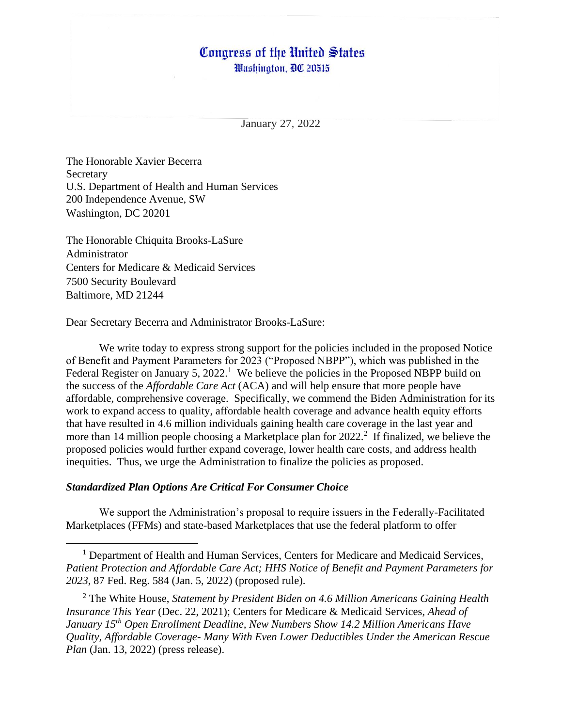# Congress of the United States

Washington, DC 20515

January 27, 2022

The Honorable Xavier Becerra Secretary U.S. Department of Health and Human Services 200 Independence Avenue, SW Washington, DC 20201

The Honorable Chiquita Brooks-LaSure Administrator Centers for Medicare & Medicaid Services 7500 Security Boulevard Baltimore, MD 21244

Dear Secretary Becerra and Administrator Brooks-LaSure:

We write today to express strong support for the policies included in the proposed Notice of Benefit and Payment Parameters for 2023 ("Proposed NBPP"), which was published in the Federal Register on January 5, 2022.<sup>1</sup> We believe the policies in the Proposed NBPP build on the success of the *Affordable Care Act* (ACA) and will help ensure that more people have affordable, comprehensive coverage. Specifically, we commend the Biden Administration for its work to expand access to quality, affordable health coverage and advance health equity efforts that have resulted in 4.6 million individuals gaining health care coverage in the last year and more than 14 million people choosing a Marketplace plan for 2022.<sup>2</sup> If finalized, we believe the proposed policies would further expand coverage, lower health care costs, and address health inequities. Thus, we urge the Administration to finalize the policies as proposed.

#### *Standardized Plan Options Are Critical For Consumer Choice*

We support the Administration's proposal to require issuers in the Federally-Facilitated Marketplaces (FFMs) and state-based Marketplaces that use the federal platform to offer

<sup>1</sup> Department of Health and Human Services, Centers for Medicare and Medicaid Services, *Patient Protection and Affordable Care Act; HHS Notice of Benefit and Payment Parameters for 2023*, 87 Fed. Reg. 584 (Jan. 5, 2022) (proposed rule).

<sup>2</sup> The White House, *Statement by President Biden on 4.6 Million Americans Gaining Health Insurance This Year* (Dec. 22, 2021); Centers for Medicare & Medicaid Services, *Ahead of January 15th Open Enrollment Deadline, New Numbers Show 14.2 Million Americans Have Quality, Affordable Coverage- Many With Even Lower Deductibles Under the American Rescue Plan* (Jan. 13, 2022) (press release).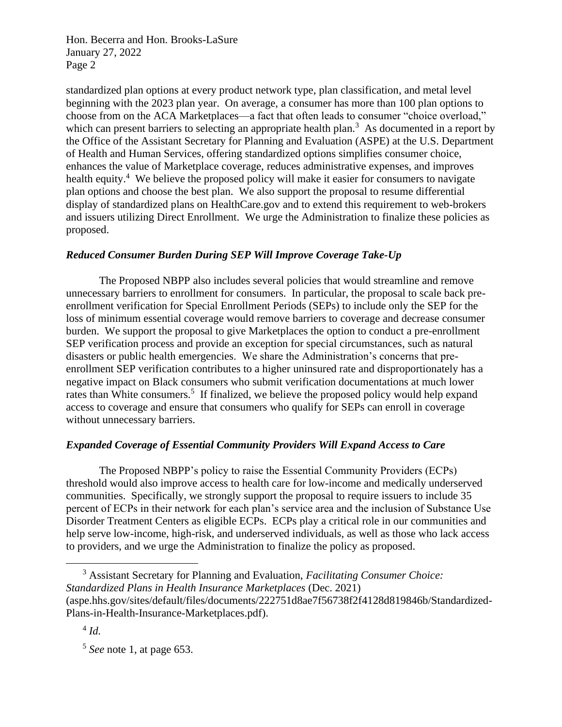Hon. Becerra and Hon. Brooks-LaSure January 27, 2022 Page 2

standardized plan options at every product network type, plan classification, and metal level beginning with the 2023 plan year. On average, a consumer has more than 100 plan options to choose from on the ACA Marketplaces—a fact that often leads to consumer "choice overload," which can present barriers to selecting an appropriate health plan.<sup>3</sup> As documented in a report by the Office of the Assistant Secretary for Planning and Evaluation (ASPE) at the U.S. Department of Health and Human Services, offering standardized options simplifies consumer choice, enhances the value of Marketplace coverage, reduces administrative expenses, and improves health equity.<sup>4</sup> We believe the proposed policy will make it easier for consumers to navigate plan options and choose the best plan. We also support the proposal to resume differential display of standardized plans on HealthCare.gov and to extend this requirement to web-brokers and issuers utilizing Direct Enrollment. We urge the Administration to finalize these policies as proposed.

# *Reduced Consumer Burden During SEP Will Improve Coverage Take-Up*

The Proposed NBPP also includes several policies that would streamline and remove unnecessary barriers to enrollment for consumers. In particular, the proposal to scale back preenrollment verification for Special Enrollment Periods (SEPs) to include only the SEP for the loss of minimum essential coverage would remove barriers to coverage and decrease consumer burden. We support the proposal to give Marketplaces the option to conduct a pre-enrollment SEP verification process and provide an exception for special circumstances, such as natural disasters or public health emergencies. We share the Administration's concerns that preenrollment SEP verification contributes to a higher uninsured rate and disproportionately has a negative impact on Black consumers who submit verification documentations at much lower rates than White consumers.<sup>5</sup> If finalized, we believe the proposed policy would help expand access to coverage and ensure that consumers who qualify for SEPs can enroll in coverage without unnecessary barriers.

# *Expanded Coverage of Essential Community Providers Will Expand Access to Care*

The Proposed NBPP's policy to raise the Essential Community Providers (ECPs) threshold would also improve access to health care for low-income and medically underserved communities. Specifically, we strongly support the proposal to require issuers to include 35 percent of ECPs in their network for each plan's service area and the inclusion of Substance Use Disorder Treatment Centers as eligible ECPs. ECPs play a critical role in our communities and help serve low-income, high-risk, and underserved individuals, as well as those who lack access to providers, and we urge the Administration to finalize the policy as proposed.

<sup>3</sup> Assistant Secretary for Planning and Evaluation, *Facilitating Consumer Choice: Standardized Plans in Health Insurance Marketplaces* (Dec. 2021) (aspe.hhs.gov/sites/default/files/documents/222751d8ae7f56738f2f4128d819846b/Standardized-Plans-in-Health-Insurance-Marketplaces.pdf).

4 *Id.*

5 *See* note 1, at page 653.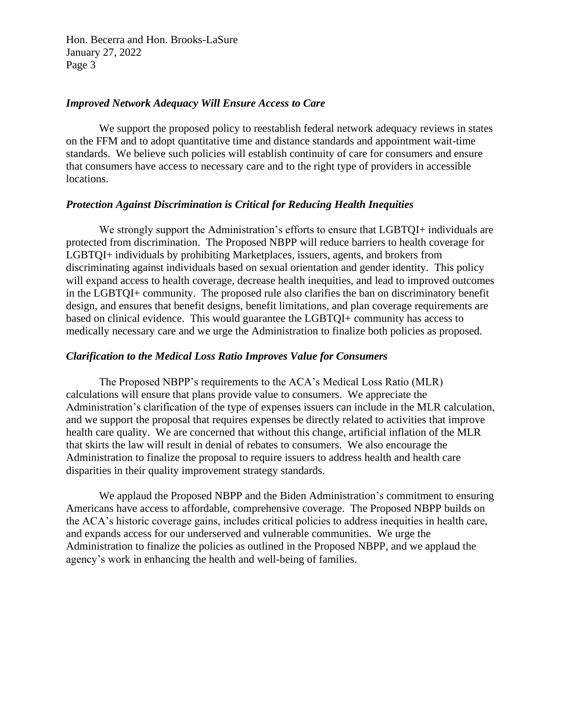Hon. Becerra and Hon. Brooks-LaSure January 27, 2022 Page 3

#### *Improved Network Adequacy Will Ensure Access to Care*

We support the proposed policy to reestablish federal network adequacy reviews in states on the FFM and to adopt quantitative time and distance standards and appointment wait-time standards. We believe such policies will establish continuity of care for consumers and ensure that consumers have access to necessary care and to the right type of providers in accessible locations.

## *Protection Against Discrimination is Critical for Reducing Health Inequities*

We strongly support the Administration's efforts to ensure that LGBTQI+ individuals are protected from discrimination. The Proposed NBPP will reduce barriers to health coverage for LGBTQI+ individuals by prohibiting Marketplaces, issuers, agents, and brokers from discriminating against individuals based on sexual orientation and gender identity. This policy will expand access to health coverage, decrease health inequities, and lead to improved outcomes in the LGBTQI+ community. The proposed rule also clarifies the ban on discriminatory benefit design, and ensures that benefit designs, benefit limitations, and plan coverage requirements are based on clinical evidence. This would guarantee the LGBTQI+ community has access to medically necessary care and we urge the Administration to finalize both policies as proposed.

## *Clarification to the Medical Loss Ratio Improves Value for Consumers*

The Proposed NBPP's requirements to the ACA's Medical Loss Ratio (MLR) calculations will ensure that plans provide value to consumers. We appreciate the Administration's clarification of the type of expenses issuers can include in the MLR calculation, and we support the proposal that requires expenses be directly related to activities that improve health care quality. We are concerned that without this change, artificial inflation of the MLR that skirts the law will result in denial of rebates to consumers. We also encourage the Administration to finalize the proposal to require issuers to address health and health care disparities in their quality improvement strategy standards.

We applaud the Proposed NBPP and the Biden Administration's commitment to ensuring Americans have access to affordable, comprehensive coverage. The Proposed NBPP builds on the ACA's historic coverage gains, includes critical policies to address inequities in health care, and expands access for our underserved and vulnerable communities. We urge the Administration to finalize the policies as outlined in the Proposed NBPP, and we applaud the agency's work in enhancing the health and well-being of families.